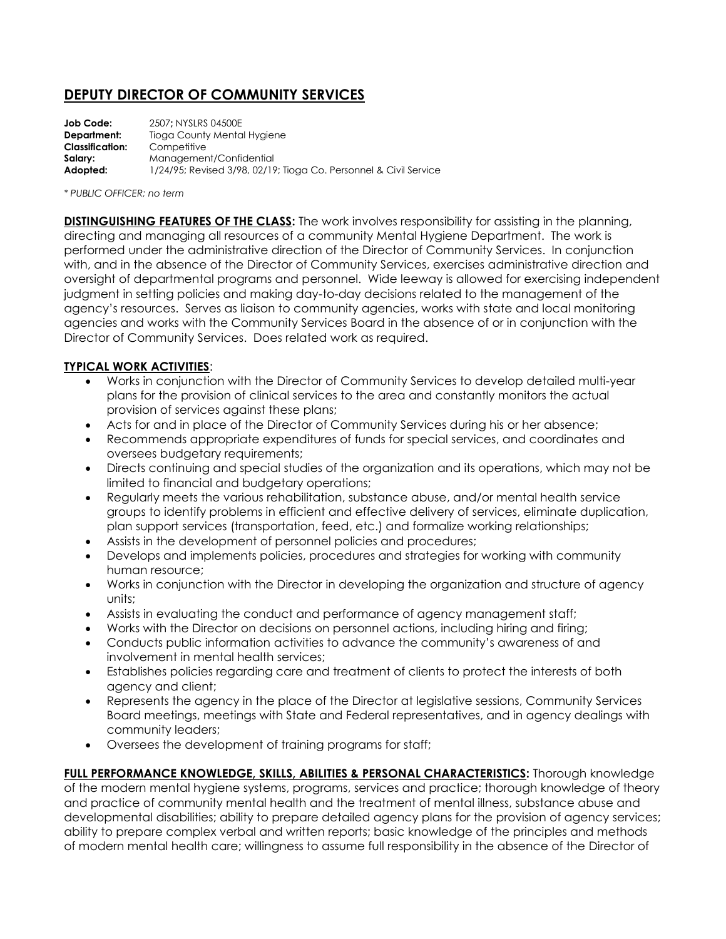## **DEPUTY DIRECTOR OF COMMUNITY SERVICES**

| Job Code:              | 2507: NYSLRS 04500E                                               |
|------------------------|-------------------------------------------------------------------|
| Department:            | Tioga County Mental Hygiene                                       |
| <b>Classification:</b> | Competitive                                                       |
| Salarv:                | Management/Confidential                                           |
| Adopted:               | 1/24/95; Revised 3/98, 02/19; Tioga Co. Personnel & Civil Service |

## *\* PUBLIC OFFICER; no term*

**DISTINGUISHING FEATURES OF THE CLASS:** The work involves responsibility for assisting in the planning, directing and managing all resources of a community Mental Hygiene Department. The work is performed under the administrative direction of the Director of Community Services. In conjunction with, and in the absence of the Director of Community Services, exercises administrative direction and oversight of departmental programs and personnel. Wide leeway is allowed for exercising independent judgment in setting policies and making day-to-day decisions related to the management of the agency's resources. Serves as liaison to community agencies, works with state and local monitoring agencies and works with the Community Services Board in the absence of or in conjunction with the Director of Community Services. Does related work as required.

## **TYPICAL WORK ACTIVITIES**:

- Works in conjunction with the Director of Community Services to develop detailed multi-year plans for the provision of clinical services to the area and constantly monitors the actual provision of services against these plans;
- Acts for and in place of the Director of Community Services during his or her absence;
- Recommends appropriate expenditures of funds for special services, and coordinates and oversees budgetary requirements;
- Directs continuing and special studies of the organization and its operations, which may not be limited to financial and budgetary operations;
- Regularly meets the various rehabilitation, substance abuse, and/or mental health service groups to identify problems in efficient and effective delivery of services, eliminate duplication, plan support services (transportation, feed, etc.) and formalize working relationships;
- Assists in the development of personnel policies and procedures;
- Develops and implements policies, procedures and strategies for working with community human resource;
- Works in conjunction with the Director in developing the organization and structure of agency units;
- Assists in evaluating the conduct and performance of agency management staff;
- Works with the Director on decisions on personnel actions, including hiring and firing;
- Conducts public information activities to advance the community's awareness of and involvement in mental health services;
- Establishes policies regarding care and treatment of clients to protect the interests of both agency and client;
- Represents the agency in the place of the Director at legislative sessions, Community Services Board meetings, meetings with State and Federal representatives, and in agency dealings with community leaders;
- Oversees the development of training programs for staff;

**FULL PERFORMANCE KNOWLEDGE, SKILLS, ABILITIES & PERSONAL CHARACTERISTICS:** Thorough knowledge of the modern mental hygiene systems, programs, services and practice; thorough knowledge of theory and practice of community mental health and the treatment of mental illness, substance abuse and developmental disabilities; ability to prepare detailed agency plans for the provision of agency services; ability to prepare complex verbal and written reports; basic knowledge of the principles and methods of modern mental health care; willingness to assume full responsibility in the absence of the Director of